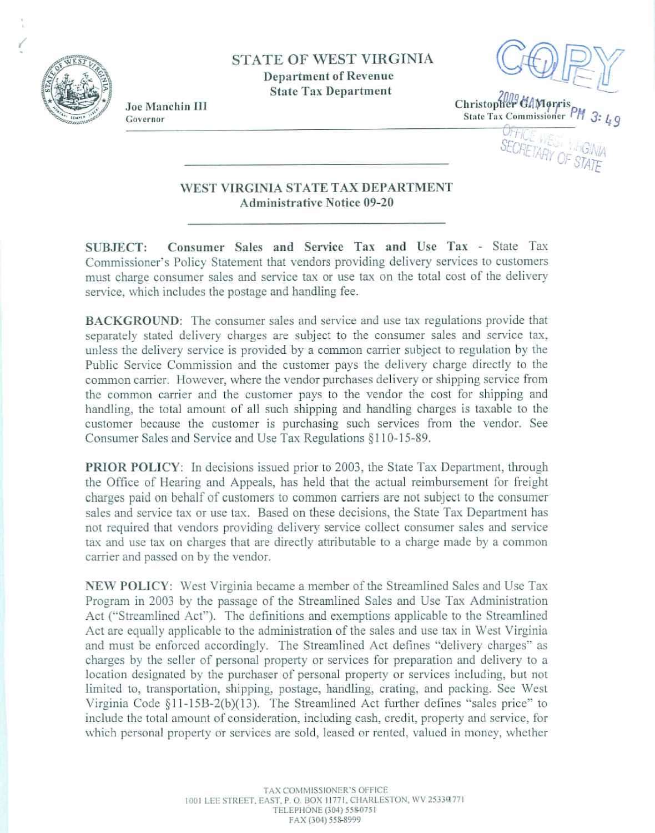

**STATE OF WEST VIRGINIA Department of Revenue State Tax Department** 

**Joe Manchin 111 Governor** 

Christopher GAMorris State Tax Commissioner P

OFFICE WEST VIE

## **WEST VIRGKNIA STATE TAX DEPARTMENT Administrative Notice 09-20**

**SUBJECT: Consumer Sales and Service Tax and Use Tax** - **State Tax**  Commissioner's **Policy Statement that vendors providing delivery services to customers**  must **charge consumer sales and service** tax **or use tax on the total cost** of the **delivery service, which includes the postage and** handling **fee.** 

**BACKGROUND:** The consumer **sales** and **sewice and use tax regdations provide that separately stated delivery charges are** subject **to** the **consumer sales** and **service tax, unless the delivery service is provided by a common carrier subject to regulation by the Public Service** Commission and **the** customer **pays the delivery** charge **directly to** the common carrier. **However,** where **the vendor purchases delivery or shipping service from the common** carrier and the **customer pays to** the vendor **the cost** for **shipping** and **handing,** the total amount of **all such shipping** and handling charges is **taxable** to the **customer** because **the customer** is **purchasing such services** from the vendor. **See Consumer Sales and Service** and Use **Tax** Regulations **8 110-15-89.** 

**PRIOR POLICY: In** decisions **issued** prior **to 2003, the State Tax** Department, through the Office of Hearing and **Appeals, has** held **that** the actual **reimbursement** for freight **charges paid** on **behalf** of **customers to** common carriers **are** not subject **to the consumer sales and service tax or use tax.** Based on these **decisions,** the **State Tax** Department **has not required that vendors providing delivery** service **collect** consumer **sales and service tax** and **use tax on charges that** are **directly attributable to a** charge **made by a common**  carrier **and passed on by the vendor.** 

NEW **POLICY:** West **Virginia** became **a member of the Stredined Sales and Use Tax Program in** 2003 by **the passage of the Streamlined Sales and** Use **Tax Administration Act** ("StreamIined **Act"). The definitions** and **exemptions applicable to the** Streamlined **Act are equally applicable** to **the administration of the sales and use tax in West Virginia and must be enforced accordingly.** The **Streamlined Act defines "delivery charges" as charges** by **the** seller **of** personal **property** or **services** for **preparation** and delivery to **a location designated** by the **purchaser of personal property** or **services** including, **but not limited to, transportation, shipping, postage, handling,** crating, and **packing. See West Virginia** Code **5 <sup>1</sup>1-15B-2@)(13).** The Streamlined **Act further defines** "sales **price" to**  include **the** total amount of consideration, including cash, credit, **property** and service, **for**  which **personal property or services are sold, leased or rented, valued** in money, whether